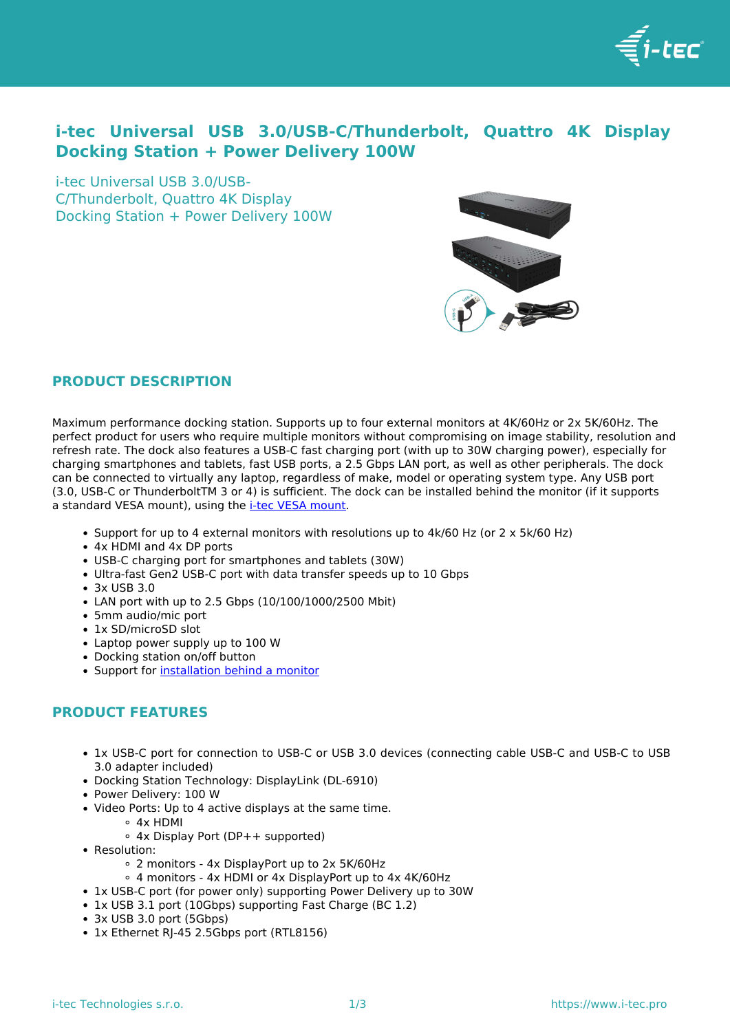

## **i-tec Universal USB 3.0/USB-C/Thunderbolt, Quattro 4K Display Docking Station + Power Delivery 100W**

i-tec Universal USB 3.0/USB-C/Thunderbolt, Quattro 4K Display Docking Station + Power Delivery 100W



## **PRODUCT DESCRIPTION**

Maximum performance docking station. Supports up to four external monitors at 4K/60Hz or 2x 5K/60Hz. The perfect product for users who require multiple monitors without compromising on image stability, resolution and refresh rate. The dock also features a USB-C fast charging port (with up to 30W charging power), especially for charging smartphones and tablets, fast USB ports, a 2.5 Gbps LAN port, as well as other peripherals. The dock can be connected to virtually any laptop, regardless of make, model or operating system type. Any USB port (3.0, USB-C or ThunderboltTM 3 or 4) is sufficient. The dock can be installed behind the monitor (if it supports a standard VESA mount), using the [i-tec VESA mount](../en/produkt/vesadock1-2/).

- Support for up to 4 external monitors with resolutions up to 4k/60 Hz (or 2 x 5k/60 Hz)
- 4x HDMI and 4x DP ports
- USB-C charging port for smartphones and tablets (30W)
- Ultra-fast Gen2 USB-C port with data transfer speeds up to 10 Gbps
- 3x USB 3.0
- LAN port with up to 2.5 Gbps (10/100/1000/2500 Mbit)
- 5mm audio/mic port
- 1x SD/microSD slot
- Laptop power supply up to 100 W
- Docking station on/off button
- Support for [installation behind a monitor](../en/produkt/vesadock1-2/)

## **PRODUCT FEATURES**

- 1x USB-C port for connection to USB-C or USB 3.0 devices (connecting cable USB-C and USB-C to USB 3.0 adapter included)
- Docking Station Technology: DisplayLink (DL-6910)
- Power Delivery: 100 W
- Video Ports: Up to 4 active displays at the same time.
	- 4x HDMI
	- 4x Display Port (DP++ supported)
- Resolution:
	- 2 monitors 4x DisplayPort up to 2x 5K/60Hz
	- 4 monitors 4x HDMI or 4x DisplayPort up to 4x 4K/60Hz
- 1x USB-C port (for power only) supporting Power Delivery up to 30W
- 1x USB 3.1 port (10Gbps) supporting Fast Charge (BC 1.2)
- 3x USB 3.0 port (5Gbps)
- 1x Ethernet RI-45 2.5Gbps port (RTL8156)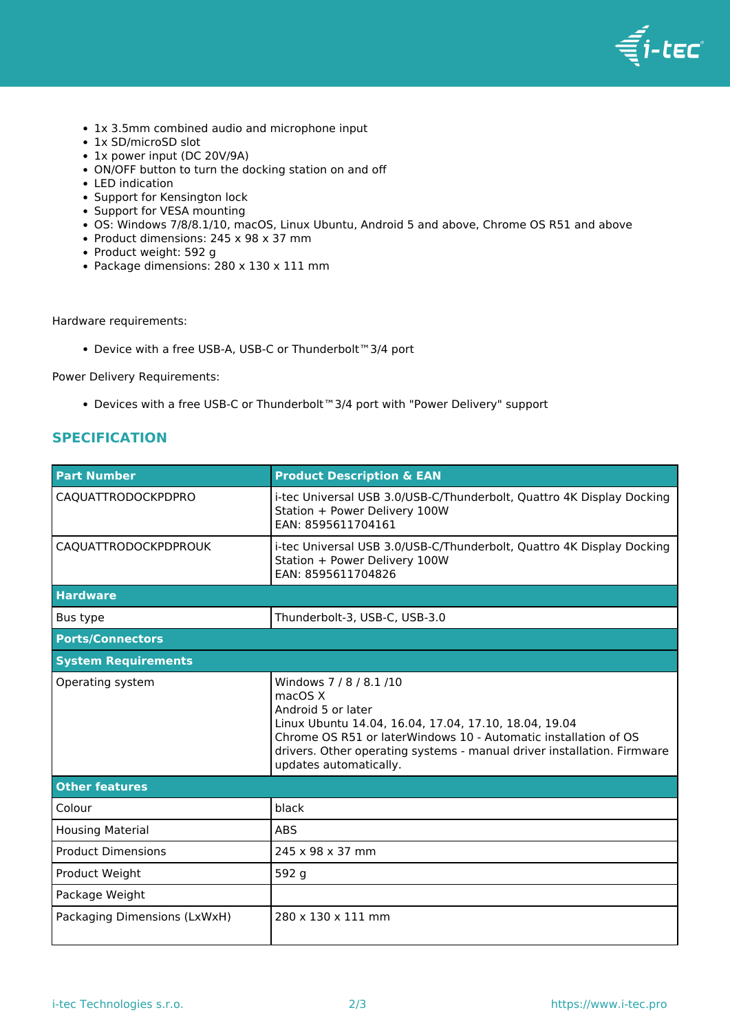

- 1x 3.5mm combined audio and microphone input
- 1x SD/microSD slot
- 1x power input (DC 20V/9A)
- ON/OFF button to turn the docking station on and off
- LED indication
- Support for Kensington lock
- Support for VESA mounting
- OS: Windows 7/8/8.1/10, macOS, Linux Ubuntu, Android 5 and above, Chrome OS R51 and above
- Product dimensions: 245 x 98 x 37 mm
- Product weight: 592 g
- Package dimensions: 280 x 130 x 111 mm

Hardware requirements:

Device with a free USB-A, USB-C or Thunderbolt™3/4 port

Power Delivery Requirements:

Devices with a free USB-C or Thunderbolt™3/4 port with "Power Delivery" support

## **SPECIFICATION**

| <b>Part Number</b>           | <b>Product Description &amp; EAN</b>                                                                                                                                                                                                                                                       |  |  |
|------------------------------|--------------------------------------------------------------------------------------------------------------------------------------------------------------------------------------------------------------------------------------------------------------------------------------------|--|--|
| CAQUATTRODOCKPDPRO           | i-tec Universal USB 3.0/USB-C/Thunderbolt, Quattro 4K Display Docking<br>Station + Power Delivery 100W<br>EAN: 8595611704161                                                                                                                                                               |  |  |
| CAQUATTRODOCKPDPROUK         | i-tec Universal USB 3.0/USB-C/Thunderbolt, Quattro 4K Display Docking<br>Station + Power Delivery 100W<br>EAN: 8595611704826                                                                                                                                                               |  |  |
| <b>Hardware</b>              |                                                                                                                                                                                                                                                                                            |  |  |
| Bus type                     | Thunderbolt-3, USB-C, USB-3.0                                                                                                                                                                                                                                                              |  |  |
| <b>Ports/Connectors</b>      |                                                                                                                                                                                                                                                                                            |  |  |
| <b>System Requirements</b>   |                                                                                                                                                                                                                                                                                            |  |  |
| Operating system             | Windows 7 / 8 / 8.1 / 10<br>macOS X<br>Android 5 or later<br>Linux Ubuntu 14.04, 16.04, 17.04, 17.10, 18.04, 19.04<br>Chrome OS R51 or laterWindows 10 - Automatic installation of OS<br>drivers. Other operating systems - manual driver installation. Firmware<br>updates automatically. |  |  |
| <b>Other features</b>        |                                                                                                                                                                                                                                                                                            |  |  |
| Colour                       | black                                                                                                                                                                                                                                                                                      |  |  |
| <b>Housing Material</b>      | <b>ABS</b>                                                                                                                                                                                                                                                                                 |  |  |
| <b>Product Dimensions</b>    | 245 x 98 x 37 mm                                                                                                                                                                                                                                                                           |  |  |
| Product Weight               | 592 g                                                                                                                                                                                                                                                                                      |  |  |
| Package Weight               |                                                                                                                                                                                                                                                                                            |  |  |
| Packaging Dimensions (LxWxH) | 280 x 130 x 111 mm                                                                                                                                                                                                                                                                         |  |  |